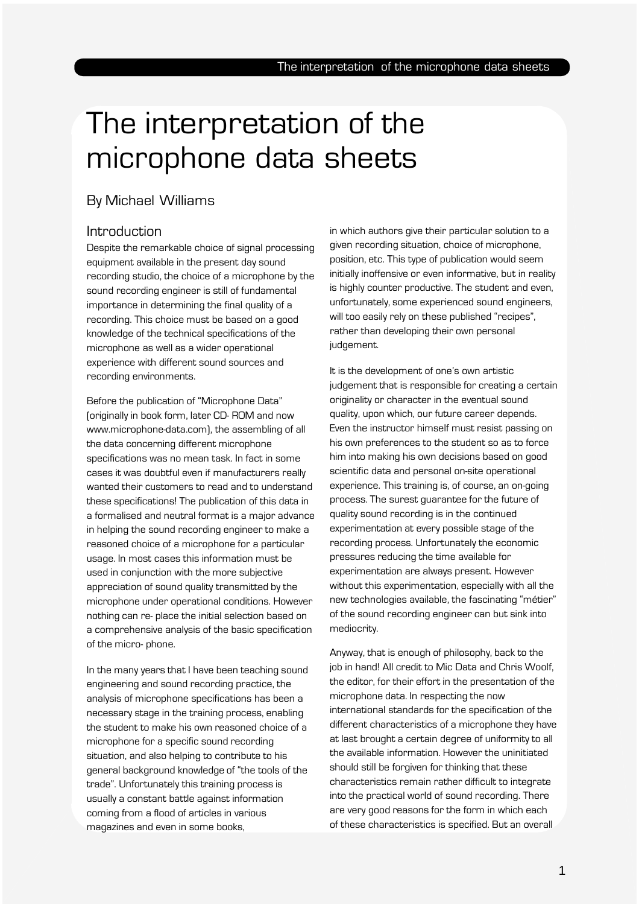# By Michael Williams

# Introduction

Despite the remarkable choice of signal processing equipment available in the present day sound recording studio, the choice of a microphone by the sound recording engineer is still of fundamental importance in determining the final quality of a recording. This choice must be based on a good knowledge of the technical specifications of the microphone as well as a wider operational experience with different sound sources and recording environments.

Before the publication of "Microphone Data" (originally in book form, later CD- ROM and now www.microphone-data.com), the assembling of all the data concerning different microphone specifications was no mean task. In fact in some cases it was doubtful even if manufacturers really wanted their customers to read and to understand these specifications! The publication of this data in a formalised and neutral format is a major advance in helping the sound recording engineer to make a reasoned choice of a microphone for a particular usage. In most cases this information must be used in conjunction with the more subjective appreciation of sound quality transmitted by the microphone under operational conditions. However nothing can re- place the initial selection based on a comprehensive analysis of the basic specification of the micro- phone.

In the many years that I have been teaching sound engineering and sound recording practice, the analysis of microphone specifications has been a necessary stage in the training process, enabling the student to make his own reasoned choice of a microphone for a specific sound recording situation, and also helping to contribute to his general background knowledge of "the tools of the trade". Unfortunately this training process is usually a constant battle against information coming from a flood of articles in various magazines and even in some books,

in which authors give their particular solution to a given recording situation, choice of microphone, position, etc. This type of publication would seem initially inoffensive or even informative, but in reality is highly counter productive. The student and even, unfortunately, some experienced sound engineers, will too easily rely on these published "recipes", rather than developing their own personal judgement.

It is the development of one's own artistic judgement that is responsible for creating a certain originality or character in the eventual sound quality, upon which, our future career depends. Even the instructor himself must resist passing on his own preferences to the student so as to force him into making his own decisions based on good scientific data and personal on-site operational experience. This training is, of course, an on-going process. The surest guarantee for the future of quality sound recording is in the continued experimentation at every possible stage of the recording process. Unfortunately the economic pressures reducing the time available for experimentation are always present. However without this experimentation, especially with all the new technologies available, the fascinating "métier" of the sound recording engineer can but sink into mediocrity.

Anyway, that is enough of philosophy, back to the job in hand! All credit to Mic Data and Chris Woolf, the editor, for their effort in the presentation of the microphone data. In respecting the now international standards for the specification of the different characteristics of a microphone they have at last brought a certain degree of uniformity to all the available information. However the uninitiated should still be forgiven for thinking that these characteristics remain rather difficult to integrate into the practical world of sound recording. There are very good reasons for the form in which each of these characteristics is specified. But an overall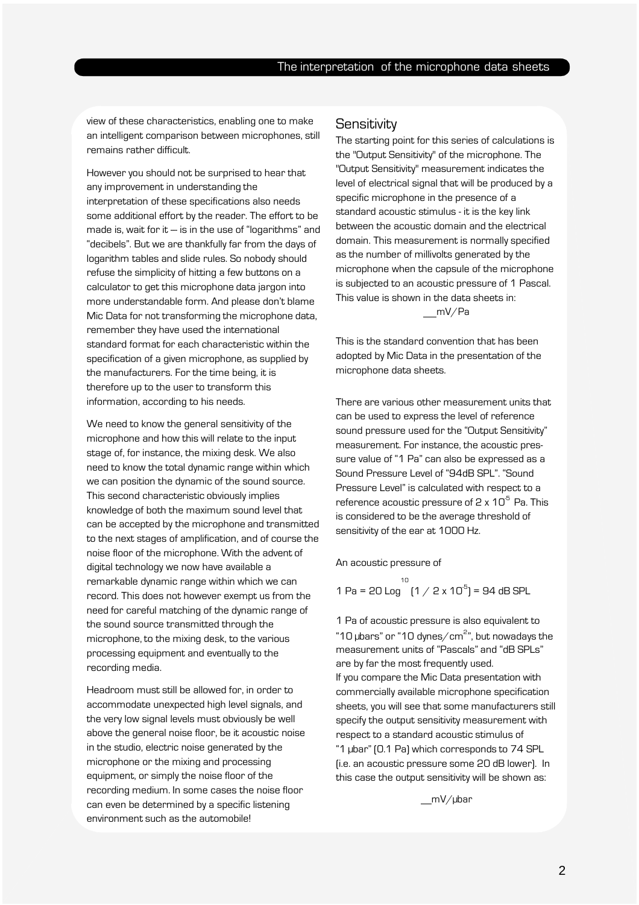2

view of these characteristics, enabling one to make an intelligent comparison between microphones, still remains rather difficult.

However you should not be surprised to hear that any improvement in understanding the interpretation of these specifications also needs some additional effort by the reader. The effort to be made is, wait for it  $-$  is in the use of "logarithms" and "decibels". But we are thankfully far from the days of logarithm tables and slide rules. So nobody should refuse the simplicity of hitting a few buttons on a calculator to get this microphone data jargon into more understandable form. And please don't blame Mic Data for not transforming the microphone data, remember they have used the international standard format for each characteristic within the specification of a given microphone, as supplied by the manufacturers. For the time being, it is therefore up to the user to transform this information, according to his needs.

We need to know the general sensitivity of the microphone and how this will relate to the input stage of, for instance, the mixing desk. We also need to know the total dynamic range within which we can position the dynamic of the sound source. This second characteristic obviously implies knowledge of both the maximum sound level that can be accepted by the microphone and transmitted to the next stages of amplification, and of course the noise floor of the microphone. With the advent of digital technology we now have available a remarkable dynamic range within which we can record. This does not however exempt us from the need for careful matching of the dynamic range of the sound source transmitted through the microphone, to the mixing desk, to the various processing equipment and eventually to the recording media.

Headroom must still be allowed for, in order to accommodate unexpected high level signals, and the very low signal levels must obviously be well above the general noise floor, be it acoustic noise in the studio, electric noise generated by the microphone or the mixing and processing equipment, or simply the noise floor of the recording medium. In some cases the noise floor can even be determined by a specific listening environment such as the automobile!

#### **Sensitivity**

The starting point for this series of calculations is the "Output Sensitivity" of the microphone. The "Output Sensitivity" measurement indicates the level of electrical signal that will be produced by a specific microphone in the presence of a standard acoustic stimulus - it is the key link between the acoustic domain and the electrical domain. This measurement is normally specified as the number of millivolts generated by the microphone when the capsule of the microphone is subjected to an acoustic pressure of 1 Pascal. This value is shown in the data sheets in: mV/Pa

This is the standard convention that has been adopted by Mic Data in the presentation of the microphone data sheets.

There are various other measurement units that can be used to express the level of reference sound pressure used for the "Output Sensitivity" measurement. For instance, the acoustic pressure value of "1 Pa" can also be expressed as a Sound Pressure Level of "94dB SPL". "Sound Pressure Level" is calculated with respect to a reference acoustic pressure of 2 x  $10^5$  Pa. This is considered to be the average threshold of sensitivity of the ear at 1000 Hz.

An acoustic pressure of

10<br>1 Pa = 20 Log  $(1 / 2 \times 10^5)$  = 94 dB SPL

1 Pa of acoustic pressure is also equivalent to "10  $\mu$ bars" or "10 dynes/cm $^{2}$ ", but nowadays the measurement units of "Pascals" and "dB SPLs" are by far the most frequently used. If you compare the Mic Data presentation with commercially available microphone specification sheets, you will see that some manufacturers still specify the output sensitivity measurement with respect to a standard acoustic stimulus of "1 µbar" (0.1 Pa) which corresponds to 74 SPL (i.e. an acoustic pressure some 20 dB lower). In this case the output sensitivity will be shown as:

mV/µbar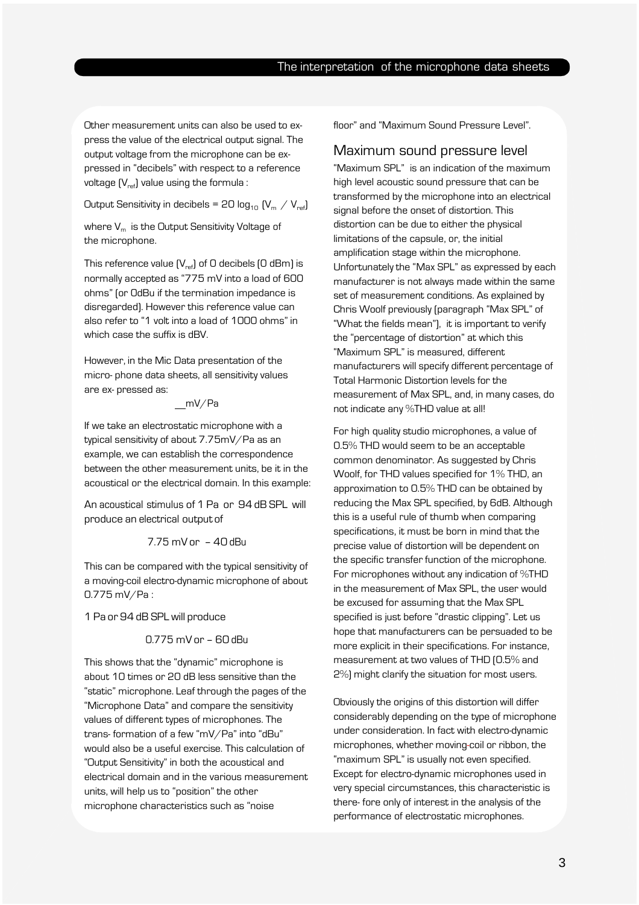Other measurement units can also be used to express the value of the electrical output signal. The output voltage from the microphone can be expressed in "decibels" with respect to a reference voltage  $[V_{ref}]$  value using the formula :

Output Sensitivity in decibels = 20  $log_{10}$  (V<sub>m</sub> / V<sub>ref</sub>)

where  $V_m$  is the Output Sensitivity Voltage of the microphone.

This reference value  $[V_{ref}]$  of O decibels  $[O$  dBm] is normally accepted as "775 mV into a load of 600 ohms" (or 0dBu if the termination impedance is disregarded). However this reference value can also refer to "1 volt into a load of 1000 ohms" in which case the suffix is dBV.

However, in the Mic Data presentation of the micro- phone data sheets, all sensitivity values are ex- pressed as:

mV/Pa

If we take an electrostatic microphone with a typical sensitivity of about 7.75mV/Pa as an example, we can establish the correspondence between the other measurement units, be it in the acoustical or the electrical domain. In this example:

An acoustical stimulus of 1 Pa or 94 dB SPL will produce an electrical output of

7.75 mV or – 40 dBu

This can be compared with the typical sensitivity of a moving-coil electro-dynamic microphone of about 0.775 mV/Pa :

1 Pa or 94 dB SPL will produce

$$
0.775 \text{ mV or } -60 \text{ dBu}
$$

This shows that the "dynamic" microphone is about 10 times or 20 dB less sensitive than the "static" microphone. Leaf through the pages of the "Microphone Data" and compare the sensitivity values of different types of microphones. The trans- formation of a few "mV/Pa" into "dBu" would also be a useful exercise. This calculation of "Output Sensitivity" in both the acoustical and electrical domain and in the various measurement units, will help us to "position" the other microphone characteristics such as "noise

floor" and "Maximum Sound Pressure Level".

#### Maximum sound pressure level

"Maximum SPL" is an indication of the maximum high level acoustic sound pressure that can be transformed by the microphone into an electrical signal before the onset of distortion. This distortion can be due to either the physical limitations of the capsule, or, the initial amplification stage within the microphone. Unfortunately the "Max SPL" as expressed by each manufacturer is not always made within the same set of measurement conditions. As explained by Chris Woolf previously (paragraph "Max SPL" of "What the fields mean"), it is important to verify the "percentage of distortion" at which this "Maximum SPL" is measured, different manufacturers will specify different percentage of Total Harmonic Distortion levels for the measurement of Max SPL, and, in many cases, do not indicate any %THD value at all!

For high quality studio microphones, a value of 0.5% THD would seem to be an acceptable common denominator. As suggested by Chris Woolf, for THD values specified for 1% THD, an approximation to 0.5% THD can be obtained by reducing the Max SPL specified, by 6dB. Although this is a useful rule of thumb when comparing specifications, it must be born in mind that the precise value of distortion will be dependent on the specific transfer function of the microphone. For microphones without any indication of %THD in the measurement of Max SPL, the user would be excused for assuming that the Max SPL specified is just before "drastic clipping". Let us hope that manufacturers can be persuaded to be more explicit in their specifications. For instance, measurement at two values of THD (0.5% and 2%) might clarify the situation for most users.

Obviously the origins of this distortion will differ considerably depending on the type of microphone under consideration. In fact with electro-dynamic microphones, whether moving-coil or ribbon, the "maximum SPL" is usually not even specified. Except for electro-dynamic microphones used in very special circumstances, this characteristic is there- fore only of interest in the analysis of the performance of electrostatic microphones.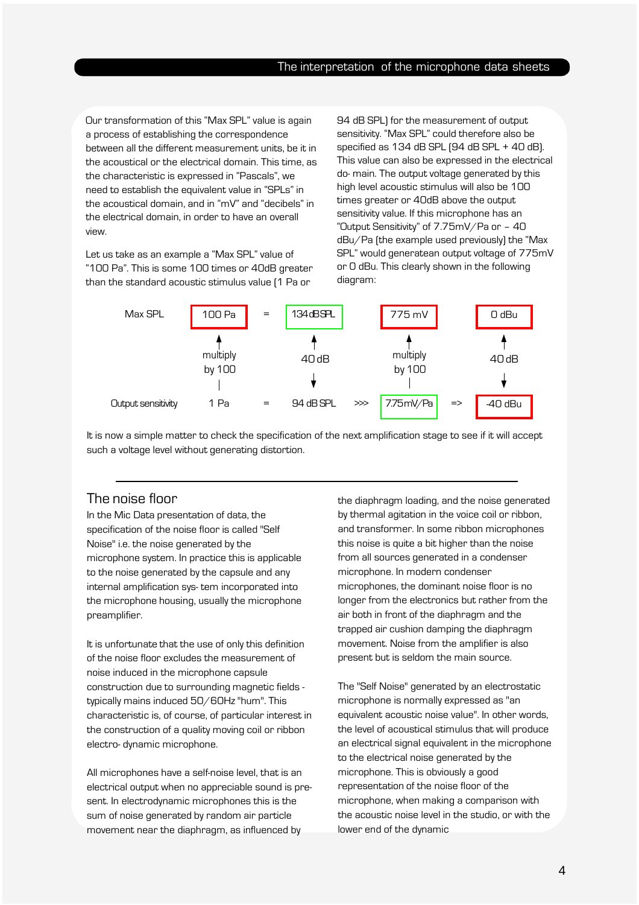Our transformation of this "Max SPL" value is again a process of establishing the correspondence between all the different measurement units, be it in the acoustical or the electrical domain. This time, as the characteristic is expressed in "Pascals", we need to establish the equivalent value in "SPLs" in the acoustical domain, and in "mV" and "decibels" in the electrical domain, in order to have an overall view.

Let us take as an example a "Max SPL" value of "100 Pa". This is some 100 times or 40dB greater than the standard acoustic stimulus value (1 Pa or

94 dB SPL) for the measurement of output sensitivity. "Max SPL" could therefore also be specified as 134 dB SPL (94 dB SPL + 40 dB). This value can also be expressed in the electrical do- main. The output voltage generated by this high level acoustic stimulus will also be 100 times greater or 40dB above the output sensitivity value. If this microphone has an "Output Sensitivity" of 7.75mV/Pa or – 40 dBu/Pa (the example used previously) the "Max SPL" would generatean output voltage of 775mV or 0 dBu. This clearly shown in the following diagram:



It is now a simple matter to check the specification of the next amplification stage to see if it will accept such a voltage level without generating distortion.

#### The noise floor

In the Mic Data presentation of data, the specification of the noise floor is called "Self Noise" i.e. the noise generated by the microphone system. In practice this is applicable to the noise generated by the capsule and any internal amplification sys- tem incorporated into the microphone housing, usually the microphone preamplifier.

It is unfortunate that the use of only this definition of the noise floor excludes the measurement of noise induced in the microphone capsule construction due to surrounding magnetic fields typically mains induced 50/60Hz "hum". This characteristic is, of course, of particular interest in the construction of a quality moving coil or ribbon electro- dynamic microphone.

All microphones have a self-noise level, that is an electrical output when no appreciable sound is present. In electrodynamic microphones this is the sum of noise generated by random air particle movement near the diaphragm, as influenced by

the diaphragm loading, and the noise generated by thermal agitation in the voice coil or ribbon, and transformer. In some ribbon microphones this noise is quite a bit higher than the noise from all sources generated in a condenser microphone. In modern condenser microphones, the dominant noise floor is no longer from the electronics but rather from the air both in front of the diaphragm and the trapped air cushion damping the diaphragm movement. Noise from the amplifier is also present but is seldom the main source.

The "Self Noise" generated by an electrostatic microphone is normally expressed as "an equivalent acoustic noise value". In other words, the level of acoustical stimulus that will produce an electrical signal equivalent in the microphone to the electrical noise generated by the microphone. This is obviously a good representation of the noise floor of the microphone, when making a comparison with the acoustic noise level in the studio, or with the lower end of the dynamic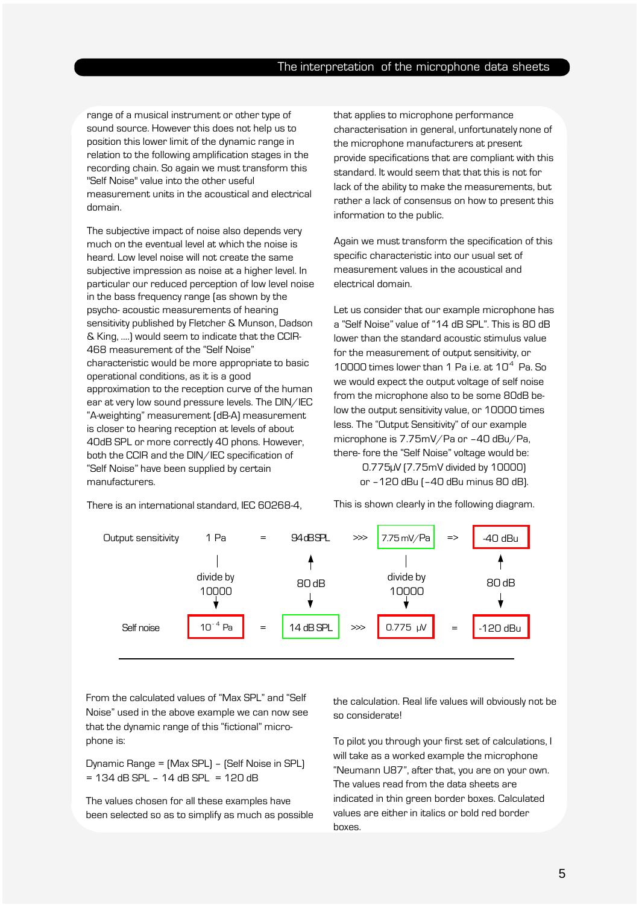range of a musical instrument or other type of sound source. However this does not help us to position this lower limit of the dynamic range in relation to the following amplification stages in the recording chain. So again we must transform this "Self Noise" value into the other useful measurement units in the acoustical and electrical domain.

The subjective impact of noise also depends very much on the eventual level at which the noise is heard. Low level noise will not create the same subjective impression as noise at a higher level. In particular our reduced perception of low level noise in the bass frequency range (as shown by the psycho- acoustic measurements of hearing sensitivity published by Fletcher & Munson, Dadson & King, ….) would seem to indicate that the CCIR-468 measurement of the "Self Noise" characteristic would be more appropriate to basic operational conditions, as it is a good approximation to the reception curve of the human ear at very low sound pressure levels. The DIN/IEC "A-weighting" measurement (dB-A) measurement is closer to hearing reception at levels of about 40dB SPL or more correctly 40 phons. However, both the CCIR and the DIN/IEC specification of "Self Noise" have been supplied by certain manufacturers.

that applies to microphone performance characterisation in general, unfortunately none of the microphone manufacturers at present provide specifications that are compliant with this standard. It would seem that that this is not for lack of the ability to make the measurements, but rather a lack of consensus on how to present this information to the public.

Again we must transform the specification of this specific characteristic into our usual set of measurement values in the acoustical and electrical domain.

Let us consider that our example microphone has a "Self Noise" value of "14 dB SPL". This is 80 dB lower than the standard acoustic stimulus value for the measurement of output sensitivity, or 10000 times lower than 1 Pa i.e. at  $10^4$  Pa. So we would expect the output voltage of self noise from the microphone also to be some 80dB below the output sensitivity value, or 10000 times less. The "Output Sensitivity" of our example microphone is 7.75mV/Pa or –40 dBu/Pa, there- fore the "Self Noise" voltage would be: 0.775µV (7.75mV divided by 10000) or –120 dBu (–40 dBu minus 80 dB).

There is an international standard, IEC 60268-4,

This is shown clearly in the following diagram.



From the calculated values of "Max SPL" and "Self Noise" used in the above example we can now see that the dynamic range of this "fictional" microphone is:

Dynamic Range = (Max SPL) – (Self Noise in SPL)  $= 134$  dB SPL  $- 14$  dB SPL  $= 120$  dB

The values chosen for all these examples have been selected so as to simplify as much as possible the calculation. Real life values will obviously not be so considerate!

To pilot you through your first set of calculations, I will take as a worked example the microphone "Neumann U87", after that, you are on your own. The values read from the data sheets are indicated in thin green border boxes. Calculated values are either in italics or bold red border boxes.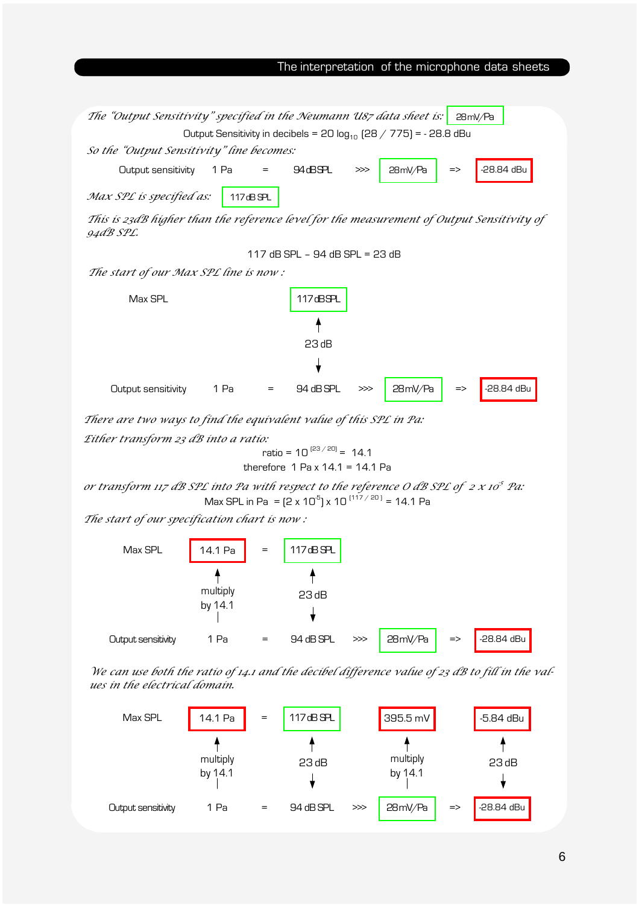



We can use both the ratio of 14.1 and the decibel difference value of 23 dB to fill in the values in the electrical domain.

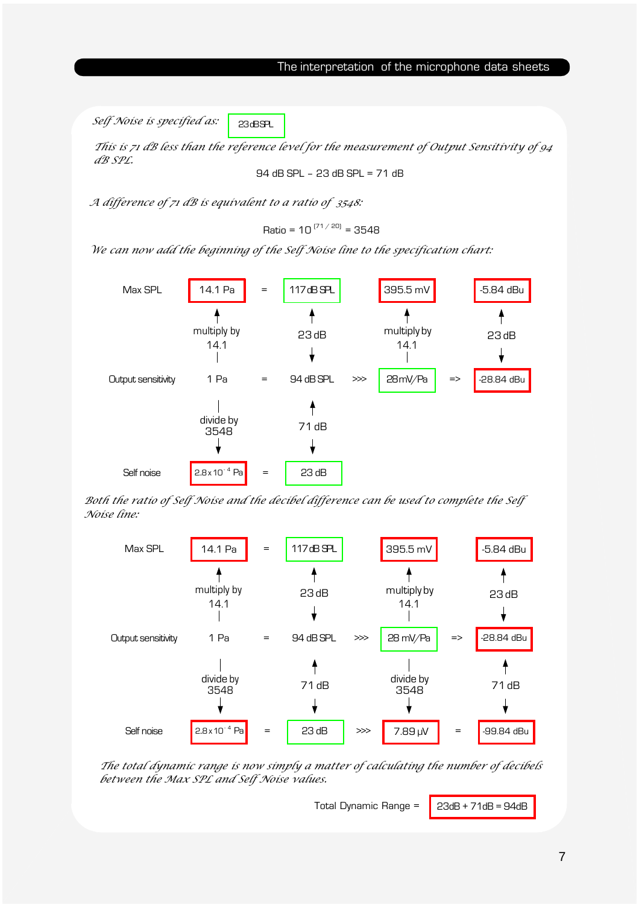Self Noise is specified as: 23 BSPL

This is 71 dB less than the reference level for the measurement of Output Sensitivity of 94 dB SPL.

94 dB SPL – 23 dB SPL = 71 dB

A difference of 71 dB is equivalent to a ratio of 3548:

Ratio = 10  $^{(71/20)}$  = 3548

We can now add the beginning of the Self Noise line to the specification chart:



Both the ratio of Self Noise and the decibel difference can be used to complete the Self Noise line:



The total dynamic range is now simply a matter of calculating the number of decibels between the Max SPL and Self Noise values.

Total Dynamic Range =  $\bigcup$  23dB + 71dB = 94dB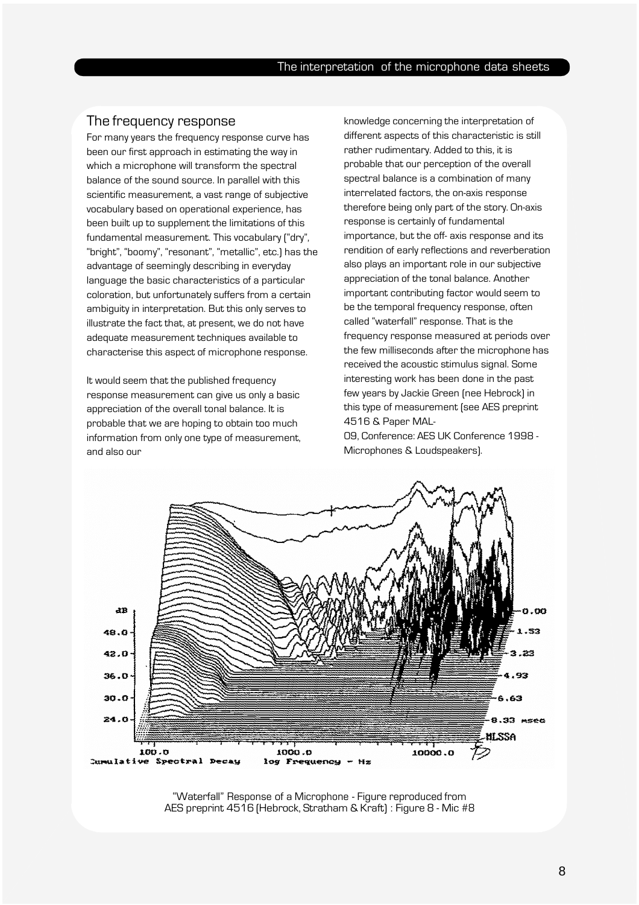#### The frequency response

For many years the frequency response curve has been our first approach in estimating the way in which a microphone will transform the spectral balance of the sound source. In parallel with this scientific measurement, a vast range of subjective vocabulary based on operational experience, has been built up to supplement the limitations of this fundamental measurement. This vocabulary ("dry", "bright", "boomy", "resonant", "metallic", etc.) has the advantage of seemingly describing in everyday language the basic characteristics of a particular coloration, but unfortunately suffers from a certain ambiguity in interpretation. But this only serves to illustrate the fact that, at present, we do not have adequate measurement techniques available to characterise this aspect of microphone response.

It would seem that the published frequency response measurement can give us only a basic appreciation of the overall tonal balance. It is probable that we are hoping to obtain too much information from only one type of measurement, and also our

knowledge concerning the interpretation of different aspects of this characteristic is still rather rudimentary. Added to this, it is probable that our perception of the overall spectral balance is a combination of many interrelated factors, the on-axis response therefore being only part of the story. On-axis response is certainly of fundamental importance, but the off- axis response and its rendition of early reflections and reverberation also plays an important role in our subjective appreciation of the tonal balance. Another important contributing factor would seem to be the temporal frequency response, often called "waterfall" response. That is the frequency response measured at periods over the few milliseconds after the microphone has received the acoustic stimulus signal. Some interesting work has been done in the past few years by Jackie Green (nee Hebrock) in this type of measurement (see AES preprint 4516 & Paper MAL-

09, Conference: AES UK Conference 1998 - Microphones & Loudspeakers).



"Waterfall" Response of a Microphone - Figure reproduced from AES preprint 4516 (Hebrock, Stratham & Kraft) : Figure 8 - Mic #8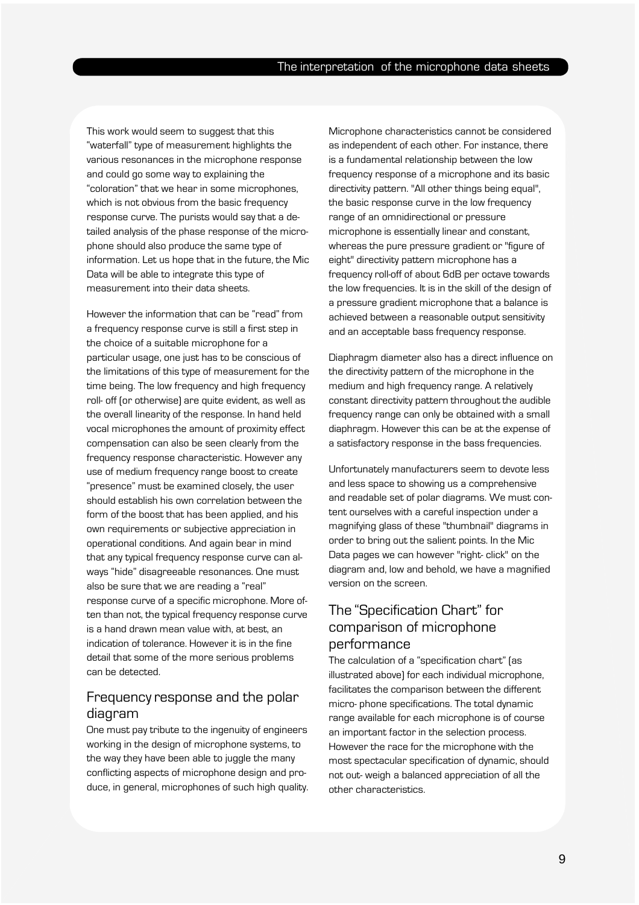This work would seem to suggest that this "waterfall" type of measurement highlights the various resonances in the microphone response and could go some way to explaining the "coloration" that we hear in some microphones, which is not obvious from the basic frequency response curve. The purists would say that a detailed analysis of the phase response of the microphone should also produce the same type of information. Let us hope that in the future, the Mic Data will be able to integrate this type of measurement into their data sheets.

However the information that can be "read" from a frequency response curve is still a first step in the choice of a suitable microphone for a particular usage, one just has to be conscious of the limitations of this type of measurement for the time being. The low frequency and high frequency roll- off (or otherwise) are quite evident, as well as the overall linearity of the response. In hand held vocal microphones the amount of proximity effect compensation can also be seen clearly from the frequency response characteristic. However any use of medium frequency range boost to create "presence" must be examined closely, the user should establish his own correlation between the form of the boost that has been applied, and his own requirements or subjective appreciation in operational conditions. And again bear in mind that any typical frequency response curve can always "hide" disagreeable resonances. One must also be sure that we are reading a "real" response curve of a specific microphone. More often than not, the typical frequency response curve is a hand drawn mean value with, at best, an indication of tolerance. However it is in the fine detail that some of the more serious problems can be detected.

## Frequency response and the polar diagram

One must pay tribute to the ingenuity of engineers working in the design of microphone systems, to the way they have been able to juggle the many conflicting aspects of microphone design and produce, in general, microphones of such high quality. Microphone characteristics cannot be considered as independent of each other. For instance, there is a fundamental relationship between the low frequency response of a microphone and its basic directivity pattern. "All other things being equal", the basic response curve in the low frequency range of an omnidirectional or pressure microphone is essentially linear and constant, whereas the pure pressure gradient or "figure of eight" directivity pattern microphone has a frequency roll-off of about 6dB per octave towards the low frequencies. It is in the skill of the design of a pressure gradient microphone that a balance is achieved between a reasonable output sensitivity and an acceptable bass frequency response.

Diaphragm diameter also has a direct influence on the directivity pattern of the microphone in the medium and high frequency range. A relatively constant directivity pattern throughout the audible frequency range can only be obtained with a small diaphragm. However this can be at the expense of a satisfactory response in the bass frequencies.

Unfortunately manufacturers seem to devote less and less space to showing us a comprehensive and readable set of polar diagrams. We must content ourselves with a careful inspection under a magnifying glass of these "thumbnail" diagrams in order to bring out the salient points. In the Mic Data pages we can however "right- click" on the diagram and, low and behold, we have a magnified version on the screen.

# The "Specification Chart" for comparison of microphone performance

The calculation of a "specification chart" (as illustrated above) for each individual microphone, facilitates the comparison between the different micro- phone specifications. The total dynamic range available for each microphone is of course an important factor in the selection process. However the race for the microphone with the most spectacular specification of dynamic, should not out- weigh a balanced appreciation of all the other characteristics.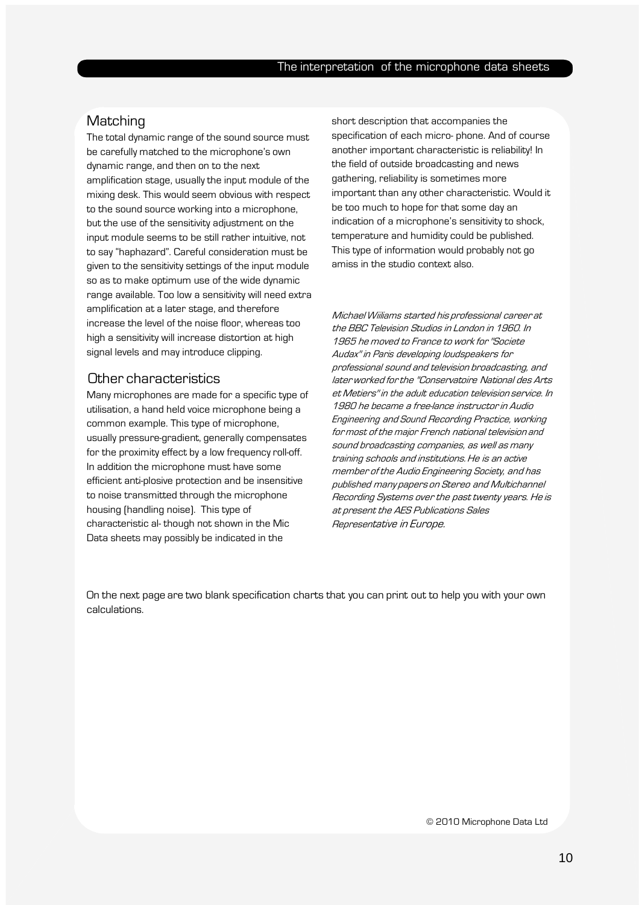# **Matching**

The total dynamic range of the sound source must be carefully matched to the microphone's own dynamic range, and then on to the next amplification stage, usually the input module of the mixing desk. This would seem obvious with respect to the sound source working into a microphone, but the use of the sensitivity adjustment on the input module seems to be still rather intuitive, not to say "haphazard". Careful consideration must be given to the sensitivity settings of the input module so as to make optimum use of the wide dynamic range available. Too low a sensitivity will need extra amplification at a later stage, and therefore increase the level of the noise floor, whereas too high a sensitivity will increase distortion at high signal levels and may introduce clipping.

### Other characteristics

Many microphones are made for a specific type of utilisation, a hand held voice microphone being a common example. This type of microphone, usually pressure-gradient, generally compensates for the proximity effect by a low frequency roll-off. In addition the microphone must have some efficient anti-plosive protection and be insensitive to noise transmitted through the microphone housing (handling noise). This type of characteristic al- though not shown in the Mic Data sheets may possibly be indicated in the

short description that accompanies the specification of each micro- phone. And of course another important characteristic is reliability! In the field of outside broadcasting and news gathering, reliability is sometimes more important than any other characteristic. Would it be too much to hope for that some day an indication of a microphone's sensitivity to shock, temperature and humidity could be published. This type of information would probably not go amiss in the studio context also.

Michael Wiiliams started his professional career at the BBC Television Studios in London in 1960. In 1965 he moved to France to work for ''Societe Audax'' in Paris developing loudspeakers for professional sound and television broadcasting, and later worked for the ''Conservatoire National des Arts et Metiers'' in the adult education television service. In 1980 he became a free-lance instructor in Audio Engineering and Sound Recording Practice, working for most of the major French national television and sound broadcasting companies, as well as many training schools and institutions. He is an active member of the Audio Engineering Society, and has published many papers on Stereo and Multichannel Recording Systems over the past twenty years. He is at present the AES Publications Sales Representative in Europe.

On the next page are two blank specification charts that you can print out to help you with your own calculations.

© 2010 Microphone Data Ltd